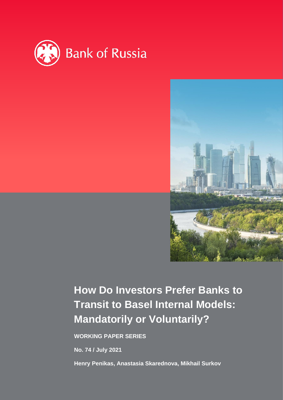



# **How Do Investors Prefer Banks to Transit to Basel Internal Models: Mandatorily or Voluntarily?**

**WORKING PAPER SERIES**

**No. 74 / July 2021**

**Henry Penikas, Anastasia Skarednova, Mikhail Surkov**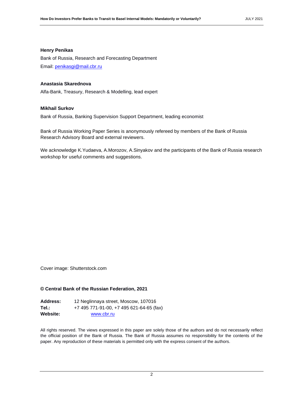## **Henry Penikas**

Bank of Russia, Research and Forecasting Department Email: [penikasgi@mail.cbr.ru](mailto:penikasgi@mail.cbr.ru)

## **Anastasia Skarednova**

Alfa-Bank, Treasury, Research & Modelling, lead expert

## **Mikhail Surkov**

Bank of Russia, Banking Supervision Support Department, leading economist

Bank of Russia Working Paper Series is anonymously refereed by members of the Bank of Russia Research Advisory Board and external reviewers.

We acknowledge K.Yudaeva, A.Morozov, A.Sinyakov and the participants of the Bank of Russia research workshop for useful comments and suggestions.

Cover image: Shutterstock.com

#### **© Central Bank of the Russian Federation, 2021**

| <b>Address:</b> | 12 Neglinnaya street, Moscow, 107016     |
|-----------------|------------------------------------------|
| Tel.:           | +7 495 771-91-00, +7 495 621-64-65 (fax) |
| Website:        | www.cbr.ru                               |

All rights reserved. The views expressed in this paper are solely those of the authors and do not necessarily reflect the official position of the Bank of Russia. The Bank of Russia assumes no responsibility for the contents of the paper. Any reproduction of these materials is permitted only with the express consent of the authors.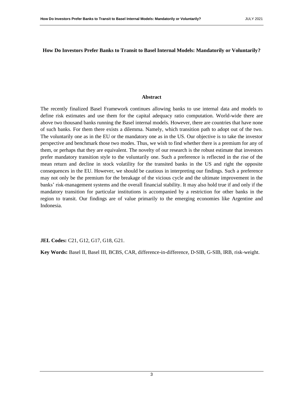## **How Do Investors Prefer Banks to Transit to Basel Internal Models: Mandatorily or Voluntarily?**

## **Abstract**

The recently finalized Basel Framework continues allowing banks to use internal data and models to define risk estimates and use them for the capital adequacy ratio computation. World-wide there are above two thousand banks running the Basel internal models. However, there are countries that have none of such banks. For them there exists a dilemma. Namely, which transition path to adopt out of the two. The voluntarily one as in the EU or the mandatory one as in the US. Our objective is to take the investor perspective and benchmark those two modes. Thus, we wish to find whether there is a premium for any of them, or perhaps that they are equivalent. The novelty of our research is the robust estimate that investors prefer mandatory transition style to the voluntarily one. Such a preference is reflected in the rise of the mean return and decline in stock volatility for the transited banks in the US and right the opposite consequences in the EU. However, we should be cautious in interpreting our findings. Such a preference may not only be the premium for the breakage of the vicious cycle and the ultimate improvement in the banks' risk-management systems and the overall financial stability. It may also hold true if and only if the mandatory transition for particular institutions is accompanied by a restriction for other banks in the region to transit. Our findings are of value primarily to the emerging economies like Argentine and Indonesia.

**JEL Codes:** C21, G12, G17, G18, G21.

**Key Words:** Basel II, Basel III, BCBS, CAR, difference-in-difference, D-SIB, G-SIB, IRB, risk-weight.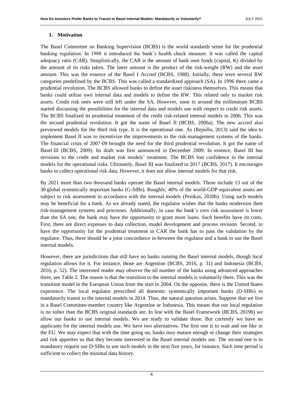## **1. Motivation**

The Basel Committee on Banking Supervision (BCBS) is the world standards setter for the prudential banking regulation. In 1988 it introduced the bank's health check measure. It was called the capital adequacy ratio (CAR). Simplistically, the CAR is the amount of bank own funds (capital, K) divided by the amount of its risks taken. The latter amount is the product of the risk-weight (RW) and the asset amount. This was the essence of the Basel I Accord (BCBS, 1988). Initially, there were several RW categories predefined by the BCBS. This was called a standardized approach (SA). In 1996 there came a prudential revolution. The BCBS allowed banks to define the asset riskiness themselves. This means that banks could utilize own internal data and models to define the RW. This related only to market risk assets. Credit risk ones were still left under the SA. However, soon in around the millennium BCBS started discussing the possibilities for the internal data and models use with respect to credit risk assets. The BCBS finalized its prudential treatment of the credit risk-related internal models in 2006. This was the second prudential revolution. It got the name of Basel II (BCBS, 2006a). The new accord also previewed models for the third risk type. It is the operational one. As (Repullo, 2013) said the idea to implement Basel II was to incentivize the improvements to the risk-management systems of the banks. The financial crisis of 2007-09 brought the need for the third prudential revolution. It got the name of Basel III (BCBS, 2009). Its draft was first announced in December 2009. In essence, Basel III has revisions to the credit and market risk models' treatment. The BCBS lost confidence in the internal models for the operational risks. Ultimately, Basel III was finalized in 2017 (BCBS, 2017). It encourages banks to collect operational risk data. However, it does not allow internal models for that risk.

By 2021 more than two thousand banks operate the Basel internal models. Those include 13 out of the 30 global systemically important banks (G-SIBs). Roughly, 40% of the world-GDP equivalent assets are subject to risk assessment in accordance with the internal models (Penikas, 2020b). Using such models may be beneficial for a bank. As we already stated, the regulator wishes that the banks modernize their risk-management systems and processes. Additionally, in case the bank's own risk assessment is lower than the SA one, the bank may have the opportunity to grant more loans. Such benefits have its costs. First, there are direct expenses to data collection, model development and process revision. Second, to have the opportunity for the prudential treatment in CAR the bank has to pass the validation by the regulator. Thus, there should be a joint concordance in-between the regulator and a bank to use the Basel internal models.

However, there are jurisdictions that still have no banks running the Basel internal models, though local regulation allows for it. For instance, those are Argentine (BCBS, 2016, p. 31) and Indonesia (BCBS, 2016, p. 52). The interested reader may observe the nil number of the banks using advanced approaches there, see [Table 2.](#page-5-0) The reason is that the transition to the internal models is voluntarily there. This was the transition model in the European Union from the start in 2004. On the opposite, there is the United States experience. The local regulator prescribed all domestic systemically important banks (D-SIBs) to mandatorily transit to the internal models in 2014. Thus, the natural question arises. Suppose that we live in a Basel Committee-member country like Argentine or Indonesia. This means that our local regulation is no softer than the BCBS original standards are. In line with the Basel Framework (BCBS, 2019b) we allow our banks to use internal models. We are ready to validate those. But currently we have no applicants for the internal models use. We have two alternatives. The first one is to wait and see like in the EU. We may expect that with the time going on, banks may mature enough or change their strategies and risk appetites so that they become interested in the Basel internal models use. The second one is to mandatory request our D-SIBs to use such models in the next five years, for instance. Such time period is sufficient to collect the minimal data history.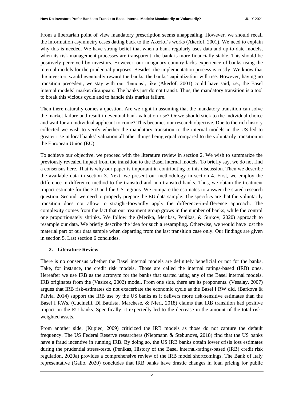From a libertarian point of view mandatory prescription seems unappealing. However, we should recall the information asymmetry cases dating back to the Akerlof's works (Akerlof, 2001). We need to explain why this is needed. We have strong belief that when a bank regularly uses data and up-to-date models, when its risk-management processes are transparent, the bank is more financially stable. This should be positively perceived by investors. However, our imaginary country lacks experience of banks using the internal models for the prudential purposes. Besides, the implementation process is costly. We know that the investors would eventually reward the banks, the banks' capitalization will rise. However, having no transition precedent, we stay with our 'lemons', like (Akerlof, 2001) could have said, i.e., the Basel internal models' market disappears. The banks just do not transit. Thus, the mandatory transition is a tool to break this vicious cycle and to handle this market failure.

Then there naturally comes a question. Are we right in assuming that the mandatory transition can solve the market failure and result in eventual bank valuation rise? Or we should stick to the individual choice and wait for an individual applicant to come? This becomes our research objective. Due to the rich history collected we wish to verify whether the mandatory transition to the internal models in the US led to greater rise in local banks' valuation all other things being equal compared to the voluntarily transition in the European Union (EU).

To achieve our objective, we proceed with the literature review in section 2. We wish to summarize the previously revealed impact from the transition to the Basel internal models. To briefly say, we do not find a consensus here. That is why our paper is important in contributing to this discussion. Then we describe the available data in section 3. Next, we present our methodology in section 4. First, we employ the difference-in-difference method to the transited and non-transited banks. Thus, we obtain the treatment impact estimate for the EU and the US regions. We compare the estimates to answer the stated research question. Second, we need to properly prepare the EU data sample. The specifics are that the voluntarily transition does not allow to straight-forwardly apply the difference-in-difference approach. The complexity comes from the fact that our treatment group grows in the number of banks, while the control one proportionately shrinks. We follow the (Merika, Merikas, Penikas, & Surkov, 2020) approach to resample our data. We briefly describe the idea for such a resampling. Otherwise, we would have lost the material part of our data sample when departing from the last transition case only. Our findings are given in section 5. Last section 6 concludes.

# **2. Literature Review**

There is no consensus whether the Basel internal models are definitely beneficial or not for the banks. Take, for instance, the credit risk models. Those are called the internal ratings-based (IRB) ones. Hereafter we use IRB as the acronym for the banks that started using any of the Basel internal models. IRB originates from the (Vasicek, 2002) model. From one side, there are its proponents. (Vesalay, 2007) argues that IRB risk-estimates do not exacerbate the economic cycle as the Basel I RW did. (Barkova & Palvia, 2014) support the IRB use by the US banks as it delivers more risk-sensitive estimates than the Basel I RWs. (Cucinelli, Di Battista, Marchese, & Nieri, 2018) claims that IRB transition had positive impact on the EU banks. Specifically, it expectedly led to the decrease in the amount of the total riskweighted assets.

From another side, (Kupiec, 2009) criticized the IRB models as those do not capture the default frequency. The US Federal Reserve researchers (Niepmann & Stebunovs, 2018) find that the US banks have a fraud incentive in running IRB. By doing so, the US IRB banks obtain lower crisis loss estimates during the prudential stress-tests. (Penikas, History of the Basel internal-ratings-based (IRB) credit risk regulation, 2020a) provides a comprehensive review of the IRB model shortcomings. The Bank of Italy representative (Gallo, 2020) concludes that IRB banks have drastic changes in loan pricing for public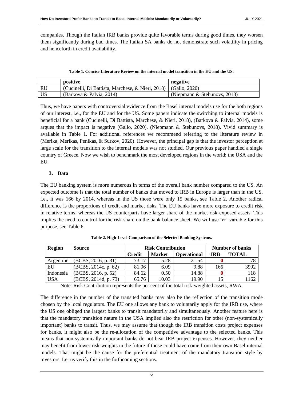companies. Though the Italian IRB banks provide quite favorable terms during good times, they worsen them significantly during bad times. The Italian SA banks do not demonstrate such volatility in pricing and henceforth in credit availability.

| Table 1. Concise Literature Review on the internal model transition in the EU and the US. |  |
|-------------------------------------------------------------------------------------------|--|
|                                                                                           |  |

<span id="page-5-1"></span>

|    | positive                                          | negative                     |
|----|---------------------------------------------------|------------------------------|
| EU | (Cucinelli, Di Battista, Marchese, & Nieri, 2018) | (Gallo, 2020)                |
| US | (Barkova & Palvia, 2014)                          | (Niepmann & Stebunovs, 2018) |

Thus, we have papers with controversial evidence from the Basel internal models use for the both regions of our interest, i.e., for the EU and for the US. Some papers indicate the switching to internal models is beneficial for a bank (Cucinelli, Di Battista, Marchese, & Nieri, 2018), (Barkova & Palvia, 2014), some argues that the impact is negative (Gallo, 2020), (Niepmann & Stebunovs, 2018). Vivid summary is available in [Table 1.](#page-5-1) For additional references we recommend referring to the literature review in (Merika, Merikas, Penikas, & Surkov, 2020). However, the principal gap is that the investor perception at large scale for the transition to the internal models was not studied. Our previous paper handled a single country of Greece. Now we wish to benchmark the most developed regions in the world: the USA and the EU.

# **3. Data**

The EU banking system is more numerous in terms of the overall bank number compared to the US. An expected outcome is that the total number of banks that moved to IRB in Europe is larger than in the US, i.e., it was 166 by 2014, whereas in the US those were only 15 banks, see [Table 2.](#page-5-0) Another radical difference is the proportions of credit and market risks. The EU banks have more exposure to credit risk in relative terms, whereas the US counterparts have larger share of the market risk-exposed assets. This implies the need to control for the risk share on the bank balance sheet. We will use 'cr' variable for this purpose, see [Table 6.](#page-15-0)

<span id="page-5-0"></span>

| Region     | <b>Source</b>        | <b>Risk Contribution</b> |               |                    | <b>Number of banks</b> |              |  |
|------------|----------------------|--------------------------|---------------|--------------------|------------------------|--------------|--|
|            |                      | <b>Credit</b>            | <b>Market</b> | <b>Operational</b> | <b>IRB</b>             | <b>TOTAL</b> |  |
| Argentine  | (BCBS, 2016, p. 31)  | 73.17                    | 5.28          | 21.54              |                        | 78           |  |
| EU         | (BCBS, 2014c, p. 62) | 81.96                    | 6.09          | 9.88               | 166                    | 3992         |  |
| Indonesia  | (BCBS, 2016, p. 52)  | 84.62                    | 0.50          | 14.88              |                        | 118          |  |
| <b>USA</b> | (BCBS, 2014d, p. 73) | 65.76                    | 10.03         | 19.90              |                        | 162          |  |

**Table 2. High-Level Comparison of the Selected Banking Systems.**

Note: Risk Contribution represents the per cent of the total risk-weighted assets, RWA.

The difference in the number of the transited banks may also be the reflection of the transition mode chosen by the local regulators. The EU one allows any bank to voluntarily apply for the IRB use, where the US one obliged the largest banks to transit mandatorily and simultaneously. Another feature here is that the mandatory transition nature in the USA implied also the restriction for other (non-systemically important) banks to transit. Thus, we may assume that though the IRB transition costs project expenses for banks, it might also be the re-allocation of the competitive advantage to the selected banks. This means that non-systemically important banks do not bear IRB project expenses. However, they neither may benefit from lower risk-weights in the future if those could have come from their own Basel internal models. That might be the cause for the preferential treatment of the mandatory transition style by investors. Let us verify this in the forthcoming sections.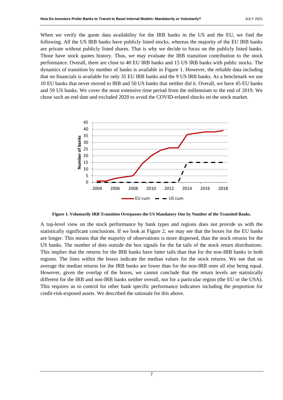When we verify the quote data availability for the IRB banks in the US and the EU, we find the following. All the US IRB banks have publicly listed stocks, whereas the majority of the EU IRB banks are private without publicly listed shares. That is why we decide to focus on the publicly listed banks. Those have stock quotes history. Thus, we may evaluate the IRB transition contribution to the stock performance. Overall, there are close to 40 EU IRB banks and 15 US IRB banks with public stocks. The dynamics of transition by number of banks is available in [Figure 1.](#page-6-0) However, the reliable data including that on financials is available for only 35 EU IRB banks and the 9 US IRB banks. As a benchmark we use 10 EU banks that never moved to IRB and 50 US banks that neither did it. Overall, we have 45 EU banks and 59 US banks. We cover the most extensive time period from the millennium to the end of 2019. We chose such an end date and excluded 2020 to avoid the COVID-related shocks on the stock market.



**Figure 1. Voluntarily IRB Transition Overpasses the US Mandatory One by Number of the Transited Banks.**

<span id="page-6-0"></span>A top-level view on the stock performance by bank types and regions does not provide us with the statistically significant conclusions. If we look at [Figure 2,](#page-7-0) we may see that the boxes for the EU banks are longer. This means that the majority of observations is more dispersed, than the stock returns for the US banks. The number of dots outside the box signals for the fat tails of the stock return distributions. This implies that the returns for the IRB banks have fatter tails than that for the non-IRB banks in both regions. The lines within the boxes indicate the median values for the stock returns. We see that on average the median returns for the IRB banks are lower than for the non-IRB ones all else being equal. However, given the overlap of the boxes, we cannot conclude that the return levels are statistically different for the IRB and non-IRB banks neither overall, nor for a particular region (the EU or the USA). This requires us to control for other bank specific performance indicators including the proportion for credit-risk-exposed assets. We described the rationale for this above.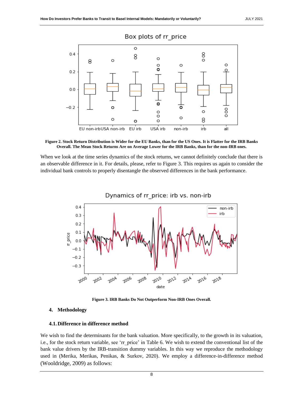

<span id="page-7-0"></span>**Figure 2. Stock Return Distribution is Wider for the EU Banks, than for the US Ones. It is Flatter for the IRB Banks Overall. The Mean Stock Returns Are on Average Lower for the IRB Banks, than for the non-IRB ones.**

When we look at the time series dynamics of the stock returns, we cannot definitely conclude that there is an observable difference in it. For details, please, refer to [Figure 3.](#page-7-1) This requires us again to consider the individual bank controls to properly disentangle the observed differences in the bank performance.



**Figure 3. IRB Banks Do Not Outperform Non-IRB Ones Overall.**

## <span id="page-7-1"></span>**4. Methodology**

#### **4.1.Difference in difference method**

We wish to find the determinants for the bank valuation. More specifically, to the growth in its valuation, i.e., for the stock return variable, see 'rr\_price' in [Table 6.](#page-15-0) We wish to extend the conventional list of the bank value drivers by the IRB-transition dummy variables. In this way we reproduce the methodology used in (Merika, Merikas, Penikas, & Surkov, 2020). We employ a difference-in-difference method (Wooldridge, 2009) as follows: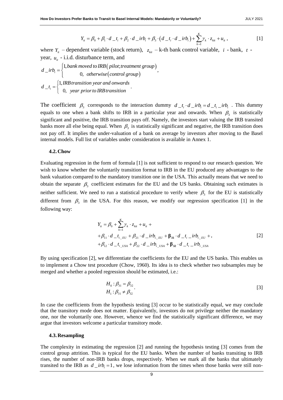$$
Y_{ii} = \beta_0 + \beta_1 \cdot d_{-}t_i + \beta_2 \cdot d_{-}irb_i + \beta_3 \cdot (d_{-}t_i \cdot d_{-}irb_i) + \sum_{k=1}^{K} \gamma_k \cdot z_{ki} + u_{it},
$$
\n[1]

where  $Y_i$  – dependent variable (stock return),  $Z_{ki}$  – k-th bank control variable, *i* - bank, *t* year,  $u_{it}$  - i.i.d. disturbance term, and

,

 $(\textit{pilot}; \textit{treatment} \textit{group})$  $(control\ group)$ ear,  $u_{ii}$  - i.i.d. disturbance term, an<br>  $(iv_{ii} =\begin{cases} 1, bank \ moved \ to \ IRB(\ pilot; i) \\ 0, \ otherwise(\ contract) \end{cases}$ *i.d. disturbance term, and*<br>*bank moved to IRB* (*pilot;treatment group d irb*  $\begin{cases} 1,$ *bank moved to IRB* (*pilot*; *treatmer*<br> $\begin{cases} 0, \text{ otherwise (control group)} \end{cases}$  $=\}$  $\overline{\mathcal{L}}$  $t_i = \begin{cases} 1, IR \\ 0, \end{cases}$ *I*, *IRB transition year and onwards*<br> *d* \_*t<sub>i</sub>* =  $\begin{cases} 1,$ *IRB transition year and onwards* | 1,*IRB transition year and onward*<br>|-<br>| 0, year prior to IRB transition  $\overline{\mathcal{L}}$ .

The coefficient  $\beta_3$  corresponds to the interaction dummy  $d_{-}t_i \cdot d_{-}irb_i = d_{-}t_i - irb_i$ . This dummy equals to one when a bank shifts to IRB in a particular year and onwards. When  $\beta_3$  is statistically significant and positive, the IRB transition pays off. Namely, the investors start valuing the IRB transited banks more all else being equal. When  $\beta_3$  is statistically significant and negative, the IRB transition does not pay off. It implies the under-valuation of a bank on average by investors after moving to the Basel internal models. Full list of variables under consideration is available in Annex 1.

#### **4.2.Chow**

Evaluating regression in the form of formula [1] is not sufficient to respond to our research question. We wish to know whether the voluntarily transition format to IRB in the EU produced any advantages to the bank valuation compared to the mandatory transition one in the USA. This actually means that we need to obtain the separate  $\beta_3$  coefficient estimates for the EU and the US banks. Obtaining such estimates is neither sufficient. We need to run a statistical procedure to verify where  $\beta_3$  for the EU is statistically different from  $\beta_3$  in the USA. For this reason, we modify our regression specification [1] in the following way:

$$
Y_{ii} = \beta_0 + \sum_{k=1}^{K} \gamma_k \cdot z_{kit} + u_{it} +
$$
  
+  $\beta_{11} \cdot d_{-}t_{i_{-}EU} + \beta_{21} \cdot d_{-}irb_{i_{-}EU} + \beta_{31} \cdot d_{-}t_{i_{-}}irb_{i_{-}EU} +$ ,  
+  $\beta_{12} \cdot d_{-}t_{i_{-}USA} + \beta_{22} \cdot d_{-}irb_{i_{-}USA} + \beta_{32} \cdot d_{-}t_{i_{-}}irb_{i_{-}USA}$  [2]

By using specification [2], we differentiate the coefficients for the EU and the US banks. This enables us to implement a Chow test procedure (Chow, 1960). Its idea is to check whether two subsamples may be merged and whether a pooled regression should be estimated, i.e.:

$$
H_0: \beta_{31} = \beta_{32} H_1: \beta_{31} \neq \beta_{32}
$$
 [3]

In case the coefficients from the hypothesis testing [3] occur to be statistically equal, we may conclude that the transitory mode does not matter. Equivalently, investors do not privilege neither the mandatory one, nor the voluntarily one. However, whence we find the statistically significant difference, we may argue that investors welcome a particular transitory mode.

#### **4.3.Resampling**

The complexity in estimating the regression [2] and running the hypothesis testing [3] comes from the control group attrition. This is typical for the EU banks. When the number of banks transiting to IRB rises, the number of non-IRB banks drops, respectively. When we mark all the banks that ultimately transited to the IRB as  $d\_irb_i = 1$ , we lose information from the times when those banks were still non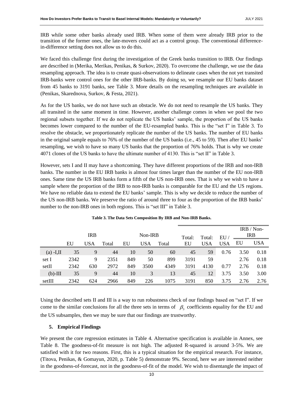IRB while some other banks already used IRB. When some of them were already IRB prior to the transition of the former ones, the late-movers could act as a control group. The conventional differencein-difference setting does not allow us to do this.

We faced this challenge first during the investigation of the Greek banks transition to IRB. Our findings are described in (Merika, Merikas, Penikas, & Surkov, 2020). To overcome the challenge, we use the data resampling approach. The idea is to create quasi-observations to delineate cases when the not yet transited IRB-banks were control ones for the other IRB-banks. By doing so, we resample our EU banks dataset from 45 banks to 3191 banks, see [Table 3.](#page-9-0) More details on the resampling techniques are available in (Penikas, Skarednova, Surkov, & Festa, 2021).

As for the US banks, we do not have such an obstacle. We do not need to resample the US banks. They all transited in the same moment in time. However, another challenge comes in when we pool the two regional subsets together. If we do not replicate the US banks' sample, the proportion of the US banks becomes lower compared to the number of the EU-resampled banks. This is the "set I" in [Table 3.](#page-9-0) To resolve the obstacle, we proportionately replicate the number of the US banks. The number of EU banks in the original sample equals to 76% of the number of the US banks (i.e., 45 to 59). Then after EU banks' resampling, we wish to have so many US banks that the proportion of 76% holds. That is why we create 4071 clones of the US banks to have the ultimate number of 4130. This is "set II" in [Table 3.](#page-9-0)

However, sets I and II may have a shortcoming. They have different proportions of the IRB and non-IRB banks. The number in the EU IRB banks is almost four times larger than the number of the EU non-IRB ones. Same time the US IRB banks form a fifth of the US non-IRB ones. That is why we wish to have a sample where the proportion of the IRB to non-IRB banks is comparable for the EU and the US regions. We have no reliable data to extend the EU banks' sample. This is why we decide to reduce the number of the US non-IRB banks. We preserve the ratio of around three to four as the proportion of the IRB banks' number to the non-IRB ones in both regions. This is "set III" i[n Table 3.](#page-9-0)

<span id="page-9-0"></span>

|             |      | <b>IRB</b> |       |     | Non-IRB    |       |              |                      |                  |      | IRB / Non-<br><b>IRB</b> |
|-------------|------|------------|-------|-----|------------|-------|--------------|----------------------|------------------|------|--------------------------|
|             | EU   | USA        | Total | EU  | <b>USA</b> | Total | Total:<br>EU | Total:<br><b>USA</b> | EU<br><b>USA</b> | EU   | <b>USA</b>               |
| $(a)$ -I,II | 35   | 9          | 44    | 10  | 50         | 60    | 45           | 59                   | 0.76             | 3.50 | 0.18                     |
| set I       | 2342 | 9          | 2351  | 849 | 50         | 899   | 3191         | 59                   |                  | 2.76 | 0.18                     |
| setII       | 2342 | 630        | 2972  | 849 | 3500       | 4349  | 3191         | 4130                 | 0.77             | 2.76 | 0.18                     |
| $(b)$ -III  | 35   | 9          | 44    | 10  | 3          | 13    | 45           | 12                   | 3.75             | 3.50 | 3.00                     |
| setIII      | 2342 | 624        | 2966  | 849 | 226        | 1075  | 3191         | 850                  | 3.75             | 2.76 | 2.76                     |

## **Table 3. The Data Sets Composition By IRB and Non-IRB Banks.**

Using the described sets II and III is a way to run robustness check of our findings based on "set I". If we come to the similar conclusions for all the three sets in terms of  $\beta_3$  coefficients equality for the EU and the US subsamples, then we may be sure that our findings are trustworthy.

# **5. Empirical Findings**

We present the core regression estimates in [Table 4.](#page-10-0) Alternative specification is available in Annex, see [Table 8.](#page-18-0) The goodness-of-fit measure is not high. The adjusted R-squared is around 3-5%. We are satisfied with it for two reasons. First, this is a typical situation for the empirical research. For instance, (Titova, Penikas, & Gomayun, 2020, p. Table 5) demonstrate 9%. Second, here we are interested neither in the goodness-of-forecast, not in the goodness-of-fit of the model. We wish to disentangle the impact of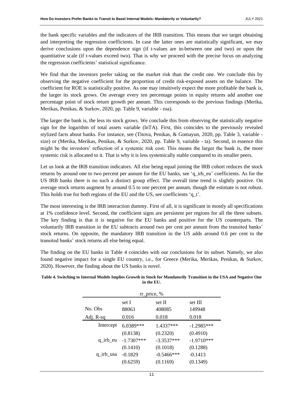the bank specific variables and the indicators of the IRB transition. This means that we target obtaining and interpreting the regression coefficients. In case the latter ones are statistically significant, we may derive conclusions upon the dependence sign (if t-values are in-between one and two) or upon the quantitative scale (if t-values exceed two). That is why we proceed with the precise focus on analyzing the regression coefficients' statistical significance.

We find that the investors prefer taking on the market risk than the credit one. We conclude this by observing the negative coefficient for the proportion of credit risk-exposed assets on the balance. The coefficient for ROE is statistically positive. As one may intuitively expect the more profitable the bank is, the larger its stock grows. On average every ten percentage points in equity returns add another one percentage point of stock return growth per annum. This corresponds to the previous findings (Merika, Merikas, Penikas, & Surkov, 2020, pp. Table 9, variable - roa).

The larger the bank is, the less its stock grows. We conclude this from observing the statistically negative sign for the logarithm of total assets variable (lnTA). First, this coincides to the previously revealed stylized facts about banks. For instance, see (Titova, Penikas, & Gomayun, 2020, pp. Table 3, variable size) or (Merika, Merikas, Penikas, & Surkov, 2020, pp. Table 9, variable - ta). Second, in essence this might be the investors' reflection of a systemic risk cost. This means the larger the bank is, the more systemic risk is allocated to it. That is why it is less systemically stable compared to its smaller peers.

Let us look at the IRB transition indicators. All else being equal joining the IRB cohort reduces the stock returns by around one to two percent per annum for the EU banks, see 'q\_irb\_eu' coefficients. As for the US IRB banks there is no such a distinct group effect. The overall time trend is slightly positive. On average stock returns augment by around 0.5 to one percent per annum, though the estimate is not robust. This holds true for both regions of the EU and the US, see coefficients 'q\_t'.

The most interesting is the IRB interaction dummy. First of all, it is significant in mostly all specifications at 1% confidence level. Second, the coefficient signs are persistent per regions for all the three subsets. The key finding is that it is negative for the EU banks and positive for the US counterparts. The voluntarily IRB transition in the EU subtracts around two per cent per annum from the transited banks' stock returns. On opposite, the mandatory IRB transition in the US adds around 0.6 per cent to the transited banks' stock returns all else being equal.

The finding on the EU banks in [Table 4](#page-10-0) coincides with our conclusions for its subset. Namely, we also found negative impact for a single EU country, i.e., for Greece (Merika, Merikas, Penikas, & Surkov, 2020). However, the finding about the US banks is novel.

| $rr\_price, %$ |              |               |              |  |  |
|----------------|--------------|---------------|--------------|--|--|
|                | set I        | set II        | set III      |  |  |
| No. Obs        | 88063        | 408085        | 149948       |  |  |
| Adj. R-sq      | 0.016        | 0.018         | 0.018        |  |  |
| Intercept      | $6.0389***$  | $1.4337***$   | $-1.2985***$ |  |  |
|                | (0.8138)     | (0.2320)      | (0.4910)     |  |  |
| $q$ _irb_eu    | $-1.7307***$ | $-3.3537***$  | $-1.9710***$ |  |  |
|                | (0.1410)     | (0.1018)      | (0.1288)     |  |  |
| q_irb_usa      | $-0.1829$    | $-0.5466$ *** | $-0.1413$    |  |  |
|                | (0.6259)     | (0.1169)      | (0.1349)     |  |  |

<span id="page-10-0"></span>**Table 4. Switching to Internal Models Implies Growth in Stock for Mandatorily Transition in the USA and Negative One in the EU.**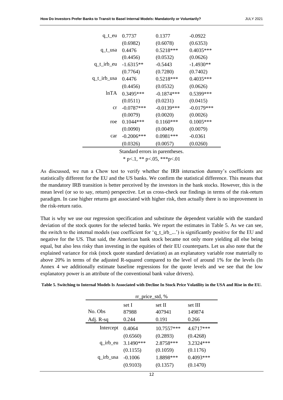| $q_t$ eu      | 0.7737       | 0.1377       | $-0.0922$    |
|---------------|--------------|--------------|--------------|
|               | (0.6982)     | (0.6078)     | (0.6353)     |
| q_t_usa       | 0.4476       | $0.5218***$  | $0.4035***$  |
|               | (0.4456)     | (0.0532)     | (0.0626)     |
| $q_t$ irb_eu  | $-1.6315**$  | $-0.5443$    | $-1.4930**$  |
|               | (0.7764)     | (0.7280)     | (0.7402)     |
| $q_t$ irb_usa | 0.4476       | 0.5218***    | 0.4035***    |
|               | (0.4456)     | (0.0532)     | (0.0626)     |
| lnTA          | $0.3495***$  | $-0.1874***$ | 0.5399***    |
|               | (0.0511)     | (0.0231)     | (0.0415)     |
| cr            | $-0.0787***$ | $-0.0139***$ | $-0.0179***$ |
|               | (0.0079)     | (0.0020)     | (0.0026)     |
| roe           | $0.1044***$  | $0.1160***$  | $0.1005***$  |
|               | (0.0090)     | (0.0049)     | (0.0079)     |
| car           | $-0.2006***$ | $0.0981***$  | $-0.0361$    |
|               | (0.0326)     | (0.0057)     | (0.0260)     |
|               |              |              |              |

Standard errors in parentheses.

 $*$  p $< 1$ ,  $*$  $*$  p $< 0.05$ ,  $*$  $*$  $*$  p $< 0.01$ 

As discussed, we run a Chow test to verify whether the IRB interaction dummy's coefficients are statistically different for the EU and the US banks. We confirm the statistical difference. This means that the mandatory IRB transition is better perceived by the investors in the bank stocks. However, this is the mean level (or so to say, return) perspective. Let us cross-check our findings in terms of the risk-return paradigm. In case higher returns got associated with higher risk, then actually there is no improvement in the risk-return ratio.

That is why we use our regression specification and substitute the dependent variable with the standard deviation of the stock quotes for the selected banks. We report the estimates in [Table 5.](#page-11-0) As we can see, the switch to the internal models (see coefficient for 'q\_t\_irb\_...') is significantly positive for the EU and negative for the US. That said, the American bank stock became not only more yielding all else being equal, but also less risky than investing in the equities of their EU counterparts. Let us also note that the explained variance for risk (stock quote standard deviation) as an explanatory variable rose materially to above 20% in terms of the adjusted R-squared compared to the level of around 1% for the levels (In Annex 4 we additionally estimate baseline regressions for the quote levels and we see that the low explanatory power is an attribute of the conventional bank value drivers).

<span id="page-11-0"></span>

| Table 5. Switching to Internal Models Is Associated with Decline In Stock Price Volatility in the USA and Rise in the EU. |  |  |  |
|---------------------------------------------------------------------------------------------------------------------------|--|--|--|
|---------------------------------------------------------------------------------------------------------------------------|--|--|--|

| $rr\_price\_std, %$ |           |              |             |  |
|---------------------|-----------|--------------|-------------|--|
|                     | set I     | set II       | set III     |  |
| No. Obs             | 87988     | 407941       | 149874      |  |
| Adj. R-sq           | 0.244     | 0.191        | 0.266       |  |
| Intercept           | 0.4064    | $10.7557***$ | $4.6717***$ |  |
|                     | (0.6560)  | (0.2893)     | (0.4268)    |  |
| $q$ _irb_eu         | 3.1490*** | 2.8758***    | 3.2324***   |  |
|                     | (0.1155)  | (0.1059)     | (0.1176)    |  |
| q_irb_usa           | $-0.1006$ | 1.8898***    | $0.4093***$ |  |
|                     | (0.9103)  | (0.1357)     | (0.1470)    |  |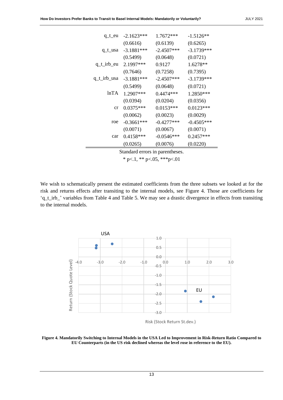| q_t_eu       | $-2.1623***$ | $1.7672***$  | $-1.5126**$  |
|--------------|--------------|--------------|--------------|
|              | (0.6616)     | (0.6139)     | (0.6265)     |
| q_t_usa      | $-3.1881***$ | $-2.4507***$ | $-3.1739***$ |
|              | (0.5499)     | (0.0648)     | (0.0721)     |
| $q_t$ irb_eu | $2.1997***$  | 0.9127       | $1.6278**$   |
|              | (0.7646)     | (0.7258)     | (0.7395)     |
| q_t_irb_usa  | $-3.1881***$ | $-2.4507***$ | $-3.1739***$ |
|              | (0.5499)     | (0.0648)     | (0.0721)     |
| lnTA         | 1.2907***    | $0.4474***$  | $1.2850***$  |
|              | (0.0394)     | (0.0204)     | (0.0356)     |
| cr           | $0.0375***$  | $0.0153***$  | $0.0123***$  |
|              | (0.0062)     | (0.0023)     | (0.0029)     |
| roe          | $-0.3661***$ | $-0.4277***$ | $-0.4505***$ |
|              | (0.0071)     | (0.0067)     | (0.0071)     |
| car          | $0.4158***$  | $-0.0546***$ | $0.2457***$  |
|              | (0.0265)     | (0.0076)     | (0.0220)     |
|              |              |              |              |

Standard errors in parentheses.

\* p $< 1$ , \*\* p $< 0.05$ , \*\*\* p $< 0.01$ 

We wish to schematically present the estimated coefficients from the three subsets we looked at for the risk and returns effects after transiting to the internal models, see [Figure 4.](#page-12-0) Those are coefficients for 'q\_t\_irb\_' variables from [Table 4](#page-10-0) and [Table 5.](#page-11-0) We may see a drastic divergence in effects from transiting to the internal models.



Risk (Stock Return St.dev.)

<span id="page-12-0"></span>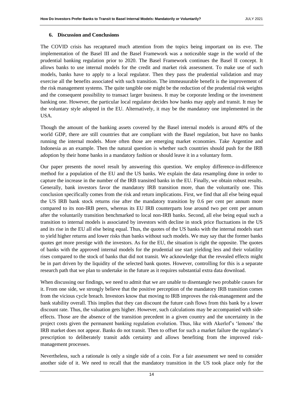## **6. Discussion and Conclusions**

The COVID crisis has recaptured much attention from the topics being important on its eve. The implementation of the Basel III and the Basel Framework was a noticeable stage in the world of the prudential banking regulation prior to 2020. The Basel Framework continues the Basel II concept. It allows banks to use internal models for the credit and market risk assessment. To make use of such models, banks have to apply to a local regulator. Then they pass the prudential validation and may exercise all the benefits associated with such transition. The immeasurable benefit is the improvement of the risk management systems. The quite tangible one might be the reduction of the prudential risk weights and the consequent possibility to transact larger business. It may be corporate lending or the investment banking one. However, the particular local regulator decides how banks may apply and transit. It may be the voluntary style adopted in the EU. Alternatively, it may be the mandatory one implemented in the USA.

Though the amount of the banking assets covered by the Basel internal models is around 40% of the world GDP, there are still countries that are compliant with the Basel regulation, but have no banks running the internal models. More often those are emerging market economies. Take Argentine and Indonesia as an example. Then the natural question is whether such countries should push for the IRB adoption by their home banks in a mandatory fashion or should leave it in a voluntary form.

Our paper presents the novel result by answering this question. We employ difference-in-difference method for a population of the EU and the US banks. We explain the data resampling done in order to capture the increase in the number of the IRB transited banks in the EU. Finally, we obtain robust results. Generally, bank investors favor the mandatory IRB transition more, than the voluntarily one. This conclusion specifically comes from the risk and return implications. First, we find that all else being equal the US IRB bank stock returns rise after the mandatory transition by 0.6 per cent per annum more compared to its non-IRB peers, whereas its EU IRB counterparts lose around two per cent per annum after the voluntarily transition benchmarked to local non-IRB banks. Second, all else being equal such a transition to internal models is associated by investors with decline in stock price fluctuations in the US and its rise in the EU all else being equal. Thus, the quotes of the US banks with the internal models start to yield higher returns and lower risks than banks without such models. We may say that the former banks quotes get more prestige with the investors. As for the EU, the situation is right the opposite. The quotes of banks with the approved internal models for the prudential use start yielding less and their volatility rises compared to the stock of banks that did not transit. We acknowledge that the revealed effects might be in part driven by the liquidity of the selected bank quotes. However, controlling for this is a separate research path that we plan to undertake in the future as it requires substantial extra data download.

When discussing our findings, we need to admit that we are unable to disentangle two probable causes for it. From one side, we strongly believe that the positive perception of the mandatory IRB transition comes from the vicious cycle breach. Investors know that moving to IRB improves the risk-management and the bank stability overall. This implies that they can discount the future cash flows from this bank by a lower discount rate. Thus, the valuation gets higher. However, such calculations may be accompanied with sideeffects. Those are the absence of the transition precedent in a given country and the uncertainty in the project costs given the permanent banking regulation evolution. Thus, like with Akerlof's 'lemons' the IRB market does not appear. Banks do not transit. Then to offset for such a market failure the regulator's prescription to deliberately transit adds certainty and allows benefiting from the improved riskmanagement processes.

Nevertheless, such a rationale is only a single side of a coin. For a fair assessment we need to consider another side of it. We need to recall that the mandatory transition in the US took place only for the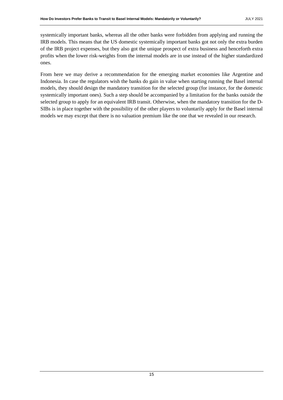systemically important banks, whereas all the other banks were forbidden from applying and running the IRB models. This means that the US domestic systemically important banks got not only the extra burden of the IRB project expenses, but they also got the unique prospect of extra business and henceforth extra profits when the lower risk-weights from the internal models are in use instead of the higher standardized ones.

From here we may derive a recommendation for the emerging market economies like Argentine and Indonesia. In case the regulators wish the banks do gain in value when starting running the Basel internal models, they should design the mandatory transition for the selected group (for instance, for the domestic systemically important ones). Such a step should be accompanied by a limitation for the banks outside the selected group to apply for an equivalent IRB transit. Otherwise, when the mandatory transition for the D-SIBs is in place together with the possibility of the other players to voluntarily apply for the Basel internal models we may except that there is no valuation premium like the one that we revealed in our research.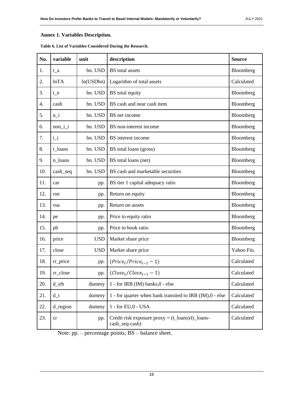# **Annex 1. Variables Description.**

| No. | variable | unit       | description                                                          | <b>Source</b> |
|-----|----------|------------|----------------------------------------------------------------------|---------------|
| 1.  | $t_a$    | bn. USD    | <b>BS</b> total assets                                               | Bloomberg     |
| 2.  | lnTA     | ln(USDbn)  | Logarithm of total assets                                            | Calculated    |
| 3.  | $t_e$    | bn. USD    | BS total equity                                                      | Bloomberg     |
| 4.  | cash     | bn. USD    | BS cash and near cash item                                           | Bloomberg     |
| 5.  | $n_i$    | bn. USD    | BS net income                                                        | Bloomberg     |
| 6.  | $non_i$  | bn. USD    | BS non-interest income                                               | Bloomberg     |
| 7.  | $i_i$    | bn. USD    | BS interest income                                                   | Bloomberg     |
| 8.  | t_loans  | bn. USD    | BS total loans (gross)                                               | Bloomberg     |
| 9.  | n_loans  | bn. USD    | BS total loans (net)                                                 | Bloomberg     |
| 10. | cash_seq | bn. USD    | BS cash and marketable securities                                    | Bloomberg     |
| 11. | car      | pp.        | BS tier 1 capital adequacy ratio                                     | Bloomberg     |
| 12. | roe      | pp.        | Return on equity                                                     | Bloomberg     |
| 13. | roa      | pp.        | Return on assets                                                     | Bloomberg     |
| 14. | pe       | pp.        | Price to equity ratio                                                | Bloomberg     |
| 15. | pb       | pp.        | Price to book ratio                                                  | Bloomberg     |
| 16. | price    | <b>USD</b> | Market share price                                                   | Bloomberg     |
| 17. | close    | <b>USD</b> | Market share price                                                   | Yahoo Fin.    |
| 18. | rr_price | pp.        | $(Pricet/Pricet-1 - 1)$                                              | Calculated    |
| 19. | rr_close | pp.        | $(Close_t / Close_{t-1} - 1)$                                        | Calculated    |
| 20. | $d$ _irb | dummy      | 1 - for IRB (IM) banks, 0 - else                                     | Calculated    |
| 21. | $d_t$    | dummy      | 1 - for quarter when bank transited to IRB (IM), 0 - else            | Calculated    |
| 22. | d_region | dummy      | 1 - for EU,0 - USA                                                   | Calculated    |
| 23. | cr       | pp.        | Credit risk exposure $prox_y = (t_0a_n)/ (t_0a_n)$<br>cash_seq-cash) | Calculated    |

<span id="page-15-0"></span>**Table 6. List of Variables Considered During the Research.**

Note: pp. – percentage points; BS – balance sheet.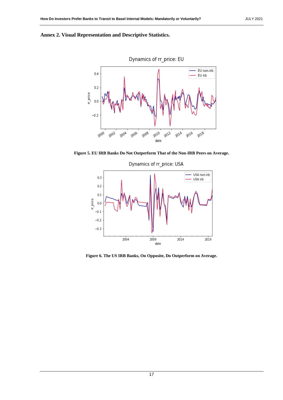



**Figure 5. EU IRB Banks Do Not Outperform That of the Non-IRB Peers on Average.**



**Figure 6. The US IRB Banks, On Opposite, Do Outperform on Average.**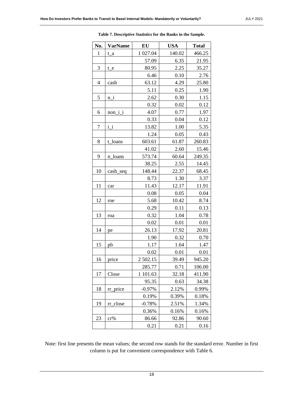| No.            | <b>VarName</b> | EU          | <b>USA</b> | <b>Total</b> |
|----------------|----------------|-------------|------------|--------------|
| 1              | $t_a$          | 1 027.04    | 140.02     | 466.25       |
|                |                | 57.09       | 6.35       | 21.95        |
| 3              | $t_e$          | 80.95       | 2.25       | 35.27        |
|                |                | 6.46        | 0.10       | 2.76         |
| $\overline{4}$ | cash           | 63.12       | 4.29       | 25.80        |
|                |                | 5.11        | 0.25       | 1.90         |
| 5              | n i            | 2.62        | 0.30       | 1.15         |
|                |                | 0.32        | 0.02       | 0.12         |
| 6              | $non_i$        | 4.07        | 0.77       | 1.97         |
|                |                | 0.33        | 0.04       | 0.12         |
| $\overline{7}$ | $i_i$          | 13.82       | 1.00       | 5.35         |
|                |                | 1.24        | 0.05       | 0.43         |
| 8              | t_loans        | 603.61      | 61.87      | 260.83       |
|                |                | 41.02       | 2.60       | 15.46        |
| 9              | loans<br>n     | 573.74      | 60.64      | 249.35       |
|                |                | 38.25       | 2.55       | 14.45        |
| 10             | cash_seq       | 148.44      | 22.37      | 68.45        |
|                |                | 8.73        | 1.30       | 3.37         |
| 11             | car            | 11.43       | 12.17      | 11.91        |
|                |                | 0.08        | 0.05       | 0.04         |
| 12             | roe            | 5.68        | 10.42      | 8.74         |
|                |                | 0.29        | 0.11       | 0.13         |
| 13             | roa            | 0.32        | 1.04       | 0.78         |
|                |                | 0.02        | 0.01       | 0.01         |
| 14             | pe             | 26.13       | 17.92      | 20.81        |
|                |                | 1.90        | 0.32       | 0.70         |
| 15             | pb             | 1.17        | 1.64       | 1.47         |
|                |                | 0.02        | 0.01       | 0.01         |
| 16             | price          | 2 502.15    | 39.49      | 945.20       |
|                |                | 285.77      | 0.71       | 106.00       |
| 17             | Close          | 101.63<br>1 | 32.18      | 411.90       |
|                |                | 95.35       | 0.63       | 34.38        |
| 18             | rr_price       | $-0.97\%$   | 2.12%      | 0.99%        |
|                |                | 0.19%       | 0.39%      | 0.18%        |
| 19             | rr_close       | $-0.78%$    | 2.51%      | 1.34%        |
|                |                | 0.36%       | 0.16%      | 0.16%        |
| 23             | cr%            | 86.66       | 92.86      | 90.60        |
|                |                | 0.21        | 0.21       | 0.16         |

**Table 7. Descriptive Statistics for the Banks in the Sample.**

Note: first line presents the mean values; the second row stands for the standard error. Number in first column is put for convenient correspondence with [Table 6.](#page-15-0)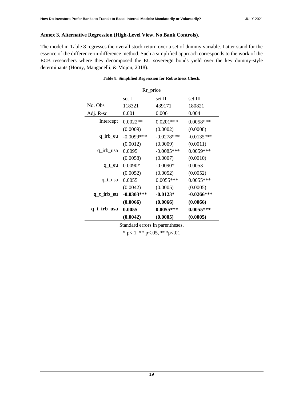# **Annex 3. Alternative Regression (High-Level View, No Bank Controls).**

<span id="page-18-0"></span>The model in [Table 8](#page-18-0) regresses the overall stock return over a set of dummy variable. Latter stand for the essence of the difference-in-difference method. Such a simplified approach corresponds to the work of the ECB researchers where they decomposed the EU sovereign bonds yield over the key dummy-style determinants (Horny, Manganelli, & Mojon, 2018).

| Rr_price    |              |              |              |  |
|-------------|--------------|--------------|--------------|--|
|             | set I        | set II       | set III      |  |
| No. Obs     | 118321       | 439171       | 180821       |  |
| Adj. R-sq   | 0.001        | 0.006        | 0.004        |  |
| Intercept   | $0.0022**$   | $0.0201***$  | $0.0058***$  |  |
|             | (0.0009)     | (0.0002)     | (0.0008)     |  |
| q_irb_eu    | $-0.0099***$ | $-0.0278***$ | $-0.0135***$ |  |
|             | (0.0012)     | (0.0009)     | (0.0011)     |  |
| q_irb_usa   | 0.0095       | $-0.0085***$ | $0.0059***$  |  |
|             | (0.0058)     | (0.0007)     | (0.0010)     |  |
| $q_t$ eu    | $0.0090*$    | $-0.0090*$   | 0.0053       |  |
|             | (0.0052)     | (0.0052)     | (0.0052)     |  |
| q_t_usa     | 0.0055       | $0.0055***$  | $0.0055***$  |  |
|             | (0.0042)     | (0.0005)     | (0.0005)     |  |
| q_t_irb_eu  | $-0.0303***$ | $-0.0123*$   | $-0.0266***$ |  |
|             | (0.0066)     | (0.0066)     | (0.0066)     |  |
| q_t_irb_usa | 0.0055       | $0.0055***$  | $0.0055***$  |  |
|             | (0.0042)     | (0.0005)     | (0.0005)     |  |

## **Table 8. Simplified Regression for Robustness Check.**

Standard errors in parentheses.

\* p $< 1$ , \*\* p $< 0.05$ , \*\*\* p $< 0.01$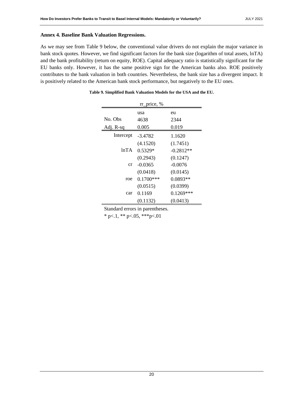## **Annex 4. Baseline Bank Valuation Regressions.**

<span id="page-19-0"></span>As we may see from [Table 9](#page-19-0) below, the conventional value drivers do not explain the major variance in bank stock quotes. However, we find significant factors for the bank size (logarithm of total assets, lnTA) and the bank profitability (return on equity, ROE). Capital adequacy ratio is statistically significant for the EU banks only. However, it has the same positive sign for the American banks also. ROE positively contributes to the bank valuation in both countries. Nevertheless, the bank size has a divergent impact. It is positively related to the American bank stock performance, but negatively to the EU ones.

| rr_price, % |             |             |  |  |
|-------------|-------------|-------------|--|--|
|             | usa         | eu          |  |  |
| No. Obs     | 4638        | 2344        |  |  |
| Adj. R-sq   | 0.005       | 0.019       |  |  |
| Intercept   | $-3.4782$   | 1.1620      |  |  |
|             | (4.1520)    | (1.7451)    |  |  |
| lnTA        | $0.5329*$   | $-0.2812**$ |  |  |
|             | (0.2943)    | (0.1247)    |  |  |
| cr          | $-0.0365$   | $-0.0076$   |  |  |
|             | (0.0418)    | (0.0145)    |  |  |
| roe         | $0.1700***$ | 0.0893**    |  |  |
|             | (0.0515)    | (0.0399)    |  |  |
| car         | 0.1169      | $0.1269***$ |  |  |
|             | (0.1132)    | (0.0413)    |  |  |

| Table 9. Simplified Bank Valuation Models for the USA and the EU. |  |  |
|-------------------------------------------------------------------|--|--|
|-------------------------------------------------------------------|--|--|

Standard errors in parentheses.

\* p $< 1$ , \*\* p $< 0.05$ , \*\*\* p $< 0.01$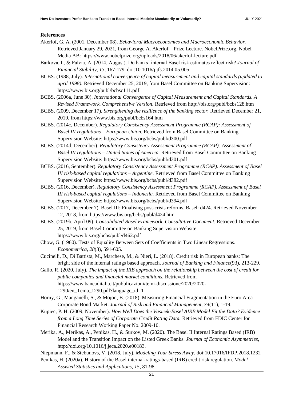## **References**

- Akerlof, G. A. (2001, December 08). *Behavioral Macroeconomics and Macroeconomic Behavior.* Retrieved January 29, 2021, from George A. Akerlof – Prize Lecture. NobelPrize.org. Nobel Media AB: https://www.nobelprize.org/uploads/2018/06/akerlof-lecture.pdf
- Barkova, I., & Palvia, A. (2014, August). Do banks' internal Basel risk estimates reflect risk? *Journal of Financial Stability, 13*, 167-179. doi:10.1016/j.jfs.2014.05.005
- BCBS. (1988, July). *International convergence of capital measurement and capital standards (updated to april 1998).* Retrieved December 25, 2019, from Basel Committee on Banking Supervision: https://www.bis.org/publ/bcbsc111.pdf
- BCBS. (2006a, June 30). *International Convergence of Capital Measurement and Capital Standards. A Revised Framework. Comprehensive Version.* Retrieved from http://bis.org/publ/bcbs128.htm
- BCBS. (2009, December 17). *Strengthening the resilience of the banking sector.* Retrieved December 21, 2019, from https://www.bis.org/publ/bcbs164.htm
- BCBS. (2014c, December). *Regulatory Consistency Assessment Programme (RCAP): Assessment of Basel III regulations – European Union.* Retrieved from Basel Committee on Banking Supervision Website: https://www.bis.org/bcbs/publ/d300.pdf
- BCBS. (2014d, December). *Regulatory Consistency Assessment Programme (RCAP): Assessment of Basel III regulations – United States of America.* Retrieved from Basel Committee on Banking Supervision Website: https://www.bis.org/bcbs/publ/d301.pdf
- BCBS. (2016, September). *Regulatory Consistency Assessment Programme (RCAP). Assessment of Basel III risk-based capital regulations – Argentine.* Retrieved from Basel Committee on Banking Supervision Website: https://www.bis.org/bcbs/publ/d382.pdf
- BCBS. (2016, December). *Regulatory Consistency Assessment Programme (RCAP). Assessment of Basel III risk-based capital regulations – Indonesia.* Retrieved from Basel Committee on Banking Supervision Website: https://www.bis.org/bcbs/publ/d394.pdf
- BCBS. (2017, December 7). Basel III: Finalising post-crisis reforms. Basel: d424. Retrieved November 12, 2018, from https://www.bis.org/bcbs/publ/d424.htm
- BCBS. (2019b, April 09). *Consolidated Basel Framework. Consultative Document.* Retrieved December 25, 2019, from Basel Committee on Banking Supervision Website: https://www.bis.org/bcbs/publ/d462.pdf
- Chow, G. (1960). Tests of Equality Between Sets of Coefficients in Two Linear Regressions. *Econometrica, 28*(3), 591-605.
- Cucinelli, D., Di Battista, M., Marchese, M., & Nieri, L. (2018). Credit risk in European banks: The bright side of the internal ratings based approach. *Journal of Banking and Finance*(93), 213-229.
- Gallo, R. (2020, July). *The impact of the IRB approach on the relationship between the cost of credit for public companies and financial market conditions.* Retrieved from https://www.bancaditalia.it/pubblicazioni/temi-discussione/2020/2020- 1290/en\_Tema\_1290.pdf?language\_id=1
- Horny, G., Manganelli, S., & Mojon, B. (2018). Measuring Financial Fragmentation in the Euro Area Corporate Bond Market. *Journal of Risk and Financial Management, 74*(11), 1-19.
- Kupiec, P. H. (2009, November). *How Well Does the Vasicek-Basel AIRB Model Fit the Data? Evidence from a Long Time Series of Corporate Credit Rating Data.* Retrieved from FDIC Center for Financial Research Working Paper No. 2009-10.
- Merika, A., Merikas, A., Penikas, H., & Surkov, M. (2020). The Basel II Internal Ratings Based (IRB) Model and the Transition Impact on the Listed Greek Banks. *Journal of Economic Asymmetries*, http://doi.org/10.1016/j.jeca.2020.e00183.

Niepmann, F., & Stebunovs, V. (2018, July). *Modeling Your Stress Away.* doi:10.17016/IFDP.2018.1232

Penikas, H. (2020a). History of the Basel internal-ratings-based (IRB) credit risk regulation. *Model Assisted Statistics and Applications, 15*, 81-98.